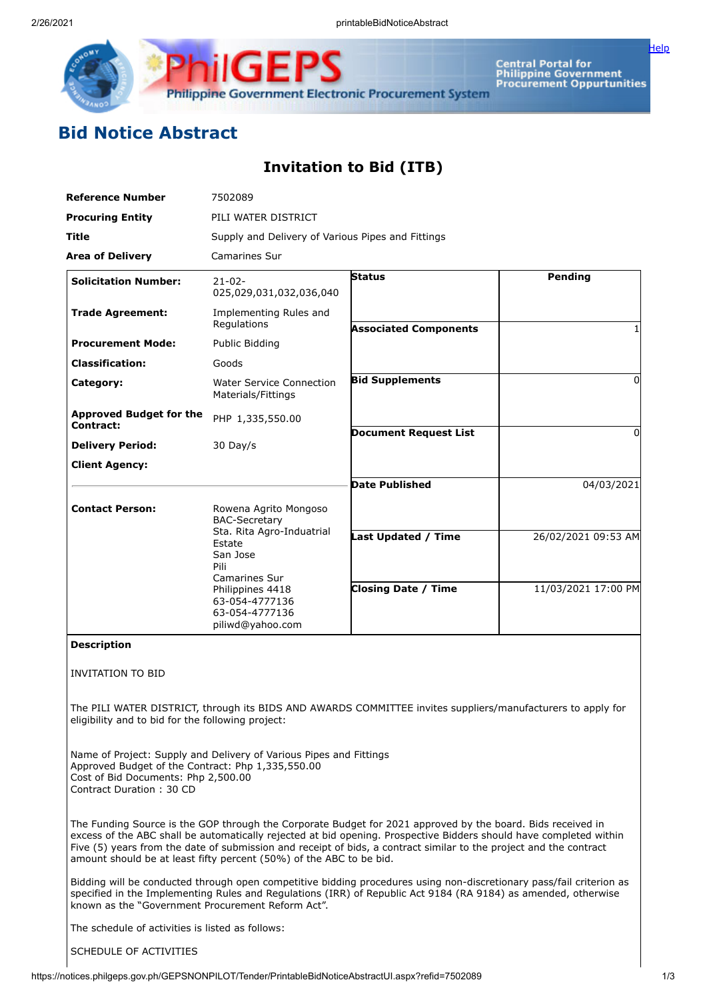

Central Portal for<br>Philippine Government<br>Procurement Oppurtunities

[Help](javascript:void(window.open()

## **Bid Notice Abstract**

## **Invitation to Bid (ITB)**

| <b>Reference Number</b>                                                                                                                                                                    | 7502089<br>PILI WATER DISTRICT<br>Supply and Delivery of Various Pipes and Fittings                                                                                                                   |                                                                                                                                                                                                                                                                                                                                                         |                     |
|--------------------------------------------------------------------------------------------------------------------------------------------------------------------------------------------|-------------------------------------------------------------------------------------------------------------------------------------------------------------------------------------------------------|---------------------------------------------------------------------------------------------------------------------------------------------------------------------------------------------------------------------------------------------------------------------------------------------------------------------------------------------------------|---------------------|
| <b>Procuring Entity</b>                                                                                                                                                                    |                                                                                                                                                                                                       |                                                                                                                                                                                                                                                                                                                                                         |                     |
| Title                                                                                                                                                                                      |                                                                                                                                                                                                       |                                                                                                                                                                                                                                                                                                                                                         |                     |
| <b>Area of Delivery</b>                                                                                                                                                                    | <b>Camarines Sur</b>                                                                                                                                                                                  |                                                                                                                                                                                                                                                                                                                                                         |                     |
| <b>Solicitation Number:</b>                                                                                                                                                                | $21 - 02 -$<br>025,029,031,032,036,040                                                                                                                                                                | <b>Status</b>                                                                                                                                                                                                                                                                                                                                           | Pending             |
| <b>Trade Agreement:</b>                                                                                                                                                                    | Implementing Rules and<br>Regulations                                                                                                                                                                 | <b>Associated Components</b>                                                                                                                                                                                                                                                                                                                            |                     |
| <b>Procurement Mode:</b>                                                                                                                                                                   | Public Bidding                                                                                                                                                                                        |                                                                                                                                                                                                                                                                                                                                                         |                     |
| <b>Classification:</b>                                                                                                                                                                     | Goods                                                                                                                                                                                                 |                                                                                                                                                                                                                                                                                                                                                         |                     |
| Category:                                                                                                                                                                                  | <b>Water Service Connection</b><br>Materials/Fittings                                                                                                                                                 | <b>Bid Supplements</b>                                                                                                                                                                                                                                                                                                                                  | 0                   |
| <b>Approved Budget for the</b><br>Contract:                                                                                                                                                | PHP 1,335,550.00                                                                                                                                                                                      |                                                                                                                                                                                                                                                                                                                                                         |                     |
| <b>Delivery Period:</b>                                                                                                                                                                    | 30 Day/s                                                                                                                                                                                              | <b>Document Request List</b>                                                                                                                                                                                                                                                                                                                            | 0                   |
| <b>Client Agency:</b>                                                                                                                                                                      |                                                                                                                                                                                                       |                                                                                                                                                                                                                                                                                                                                                         |                     |
|                                                                                                                                                                                            |                                                                                                                                                                                                       | <b>Date Published</b>                                                                                                                                                                                                                                                                                                                                   | 04/03/2021          |
| <b>Contact Person:</b>                                                                                                                                                                     | Rowena Agrito Mongoso<br><b>BAC-Secretary</b><br>Sta. Rita Agro-Induatrial<br>Estate<br>San Jose<br>Pili<br>Camarines Sur<br>Philippines 4418<br>63-054-4777136<br>63-054-4777136<br>piliwd@yahoo.com |                                                                                                                                                                                                                                                                                                                                                         |                     |
|                                                                                                                                                                                            |                                                                                                                                                                                                       | Last Updated / Time                                                                                                                                                                                                                                                                                                                                     | 26/02/2021 09:53 AM |
|                                                                                                                                                                                            |                                                                                                                                                                                                       | <b>Closing Date / Time</b>                                                                                                                                                                                                                                                                                                                              | 11/03/2021 17:00 PM |
| <b>Description</b>                                                                                                                                                                         |                                                                                                                                                                                                       |                                                                                                                                                                                                                                                                                                                                                         |                     |
| <b>INVITATION TO BID</b>                                                                                                                                                                   |                                                                                                                                                                                                       |                                                                                                                                                                                                                                                                                                                                                         |                     |
| eligibility and to bid for the following project:                                                                                                                                          |                                                                                                                                                                                                       | The PILI WATER DISTRICT, through its BIDS AND AWARDS COMMITTEE invites suppliers/manufacturers to apply for                                                                                                                                                                                                                                             |                     |
| Name of Project: Supply and Delivery of Various Pipes and Fittings<br>Approved Budget of the Contract: Php 1,335,550.00<br>Cost of Bid Documents: Php 2,500.00<br>Contract Duration: 30 CD |                                                                                                                                                                                                       |                                                                                                                                                                                                                                                                                                                                                         |                     |
| amount should be at least fifty percent (50%) of the ABC to be bid.                                                                                                                        |                                                                                                                                                                                                       | The Funding Source is the GOP through the Corporate Budget for 2021 approved by the board. Bids received in<br>excess of the ABC shall be automatically rejected at bid opening. Prospective Bidders should have completed within<br>Five (5) years from the date of submission and receipt of bids, a contract similar to the project and the contract |                     |
|                                                                                                                                                                                            |                                                                                                                                                                                                       | Bidding will be conducted through open competitive bidding procedures using non-discretionary pass/fail criterion as<br>specified in the Implementing Rules and Regulations (IRR) of Republic Act 9184 (RA 9184) as amended, otherwise                                                                                                                  |                     |

The schedule of activities is listed as follows:

known as the "Government Procurement Reform Act".

SCHEDULE OF ACTIVITIES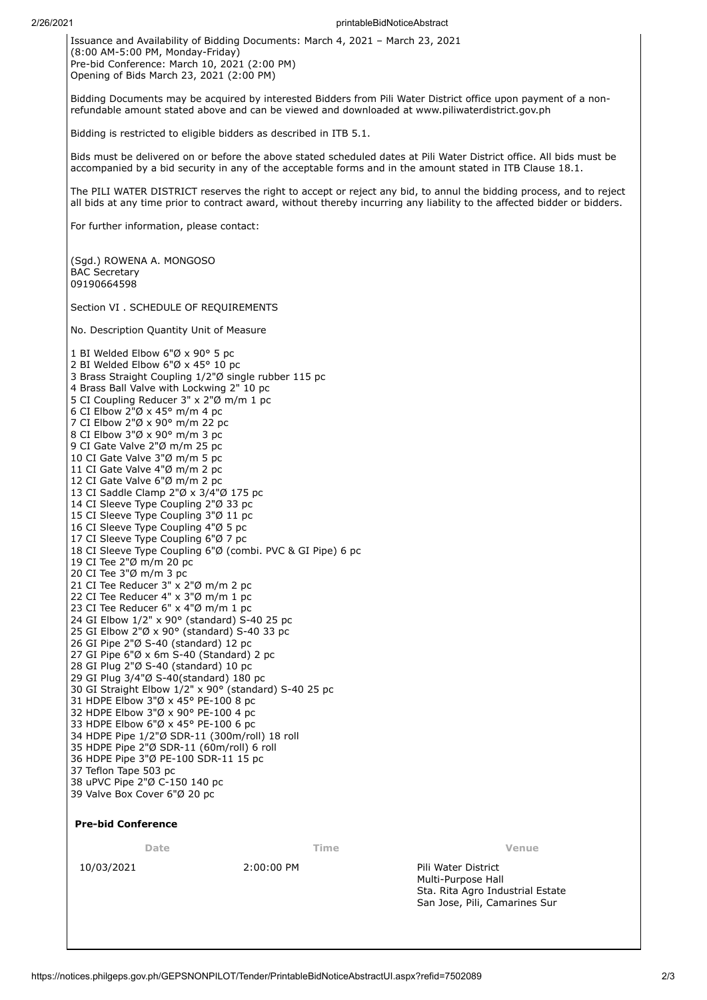Issuance and Availability of Bidding Documents: March 4, 2021 – March 23, 2021 (8:00 AM-5:00 PM, Monday-Friday)  $\overrightarrow{Pre}$ -bid Conference: March 10, 2021 (2:00 PM) Opening of Bids March 23, 2021 (2:00 PM)

Bidding Documents may be acquired by interested Bidders from Pili Water District office upon payment of a nonrefundable amount stated above and can be viewed and downloaded at www.piliwaterdistrict.gov.ph

Bidding is restricted to eligible bidders as described in ITB 5.1.

Bids must be delivered on or before the above stated scheduled dates at Pili Water District office. All bids must be accompanied by a bid security in any of the acceptable forms and in the amount stated in ITB Clause 18.1.

The PILI WATER DISTRICT reserves the right to accept or reject any bid, to annul the bidding process, and to reject all bids at any time prior to contract award, without thereby incurring any liability to the affected bidder or bidders.

For further information, please contact:

(Sgd.) ROWENA A. MONGOSO BAC Secretary 09190664598

Section VI . SCHEDULE OF REQUIREMENTS

No. Description Quantity Unit of Measure

 BI Welded Elbow 6"Ø x 90° 5 pc BI Welded Elbow 6"Ø x 45° 10 pc Brass Straight Coupling 1/2"Ø single rubber 115 pc Brass Ball Valve with Lockwing 2" 10 pc CI Coupling Reducer 3" x 2"Ø m/m 1 pc 6 CI Elbow  $2^{n}$ Ø x 45° m/m 4 pc CI Elbow 2"Ø x 90° m/m 22 pc CI Elbow 3"Ø x 90° m/m 3 pc CI Gate Valve 2"Ø m/m 25 pc CI Gate Valve 3"Ø m/m 5 pc CI Gate Valve 4"Ø m/m 2 pc CI Gate Valve 6"Ø m/m 2 pc CI Saddle Clamp 2"Ø x 3/4"Ø 175 pc CI Sleeve Type Coupling 2"Ø 33 pc CI Sleeve Type Coupling 3"Ø 11 pc CI Sleeve Type Coupling 4"Ø 5 pc CI Sleeve Type Coupling 6"Ø 7 pc CI Sleeve Type Coupling 6"Ø (combi. PVC & GI Pipe) 6 pc CI Tee 2"Ø m/m 20 pc CI Tee 3"Ø m/m 3 pc 21 CI Tee Reducer 3" x 2"Ø m/m 2 pc CI Tee Reducer 4" x 3"Ø m/m 1 pc 23 CI Tee Reducer 6" x 4"Ø m/m 1 pc GI Elbow 1/2" x 90° (standard) S-40 25 pc GI Elbow 2"Ø x 90° (standard) S-40 33 pc GI Pipe 2"Ø S-40 (standard) 12 pc GI Pipe 6"Ø x 6m S-40 (Standard) 2 pc GI Plug 2"Ø S-40 (standard) 10 pc GI Plug 3/4"Ø S-40(standard) 180 pc GI Straight Elbow 1/2" x 90° (standard) S-40 25 pc HDPE Elbow 3"Ø x 45° PE-100 8 pc HDPE Elbow 3"Ø x 90° PE-100 4 pc HDPE Elbow 6"Ø x 45° PE-100 6 pc HDPE Pipe 1/2"Ø SDR-11 (300m/roll) 18 roll HDPE Pipe 2"Ø SDR-11 (60m/roll) 6 roll HDPE Pipe 3"Ø PE-100 SDR-11 15 pc Teflon Tape 503 pc uPVC Pipe 2"Ø C-150 140 pc Valve Box Cover 6"Ø 20 pc

## **Pre-bid Conference**

**Date Time Venue**

10/03/2021 2:00:00 PM Pili Water District Multi-Purpose Hall Sta. Rita Agro Industrial Estate San Jose, Pili, Camarines Sur